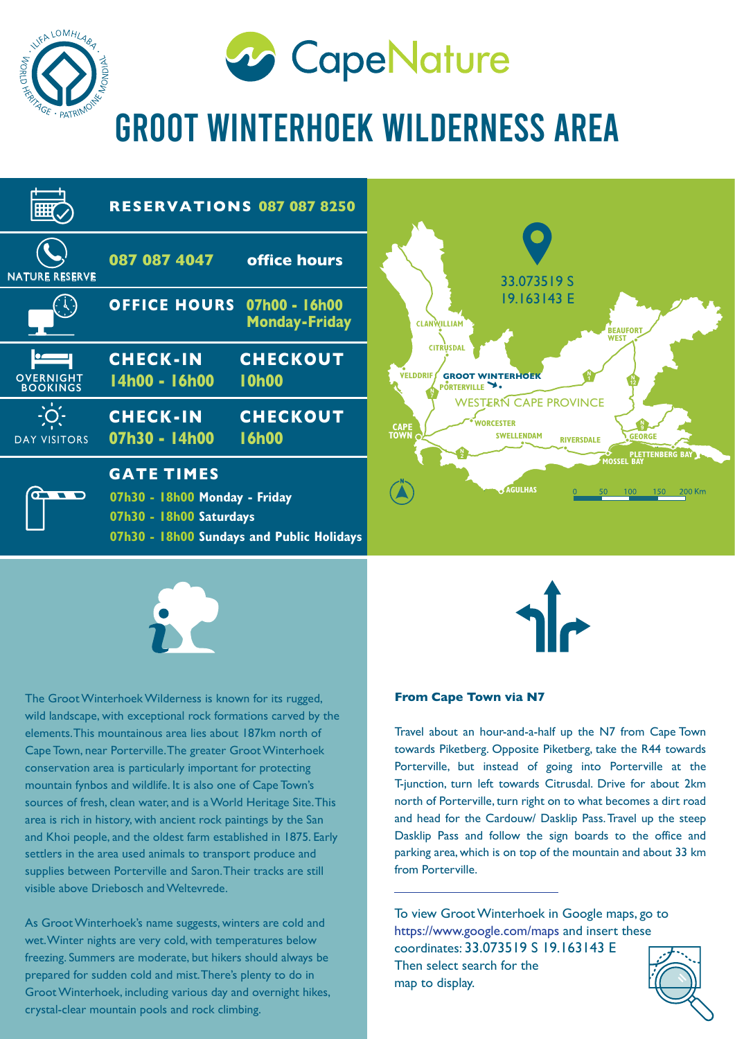



GROOT WINTERHOEK WILDERNESS AREA





The Groot Winterhoek Wilderness is known for its rugged, wild landscape, with exceptional rock formations carved by the elements. This mountainous area lies about 187km north of Cape Town, near Porterville. The greater Groot Winterhoek conservation area is particularly important for protecting mountain fynbos and wildlife. It is also one of Cape Town's sources of fresh, clean water, and is a World Heritage Site. This area is rich in history, with ancient rock paintings by the San and Khoi people, and the oldest farm established in 1875. Early settlers in the area used animals to transport produce and supplies between Porterville and Saron. Their tracks are still visible above Driebosch and Weltevrede.

As Groot Winterhoek's name suggests, winters are cold and wet. Winter nights are very cold, with temperatures below freezing. Summers are moderate, but hikers should always be prepared for sudden cold and mist. There's plenty to do in Groot Winterhoek, including various day and overnight hikes, crystal-clear mountain pools and rock climbing.



#### **From Cape Town via N7**

Travel about an hour-and-a-half up the N7 from Cape Town towards Piketberg. Opposite Piketberg, take the R44 towards Porterville, but instead of going into Porterville at the T-junction, turn left towards Citrusdal. Drive for about 2km north of Porterville, turn right on to what becomes a dirt road and head for the Cardouw/ Dasklip Pass. Travel up the steep Dasklip Pass and follow the sign boards to the office and parking area, which is on top of the mountain and about 33 km from Porterville.

To view Groot Winterhoek in Google maps, go to https://www.google.com/maps and insert these coordinates: 33.073519 S 19.163143 E Then select search for the map to display.

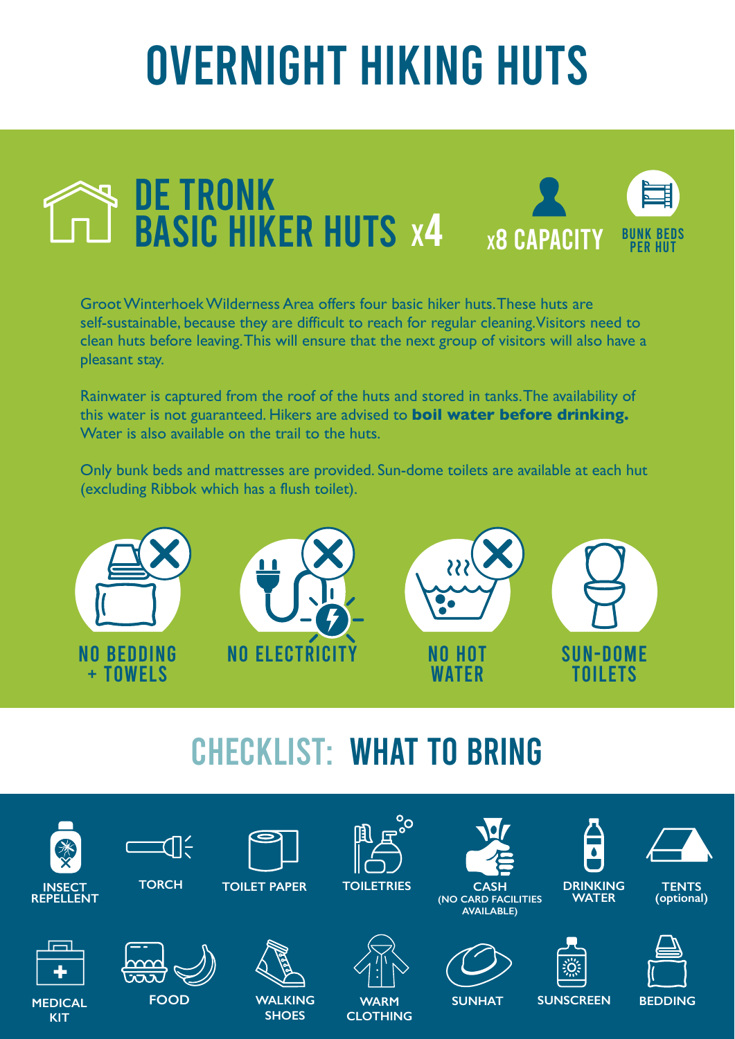# OVERNIGHT HIKING HUTS



Groot Winterhoek Wilderness Area offers four basic hiker huts. These huts are self-sustainable, because they are difficult to reach for regular cleaning. Visitors need to clean huts before leaving. This will ensure that the next group of visitors will also have a pleasant stay.

Rainwater is captured from the roof of the huts and stored in tanks. The availability of this water is not guaranteed. Hikers are advised to **boil water before drinking.** Water is also available on the trail to the huts.

Only bunk beds and mattresses are provided. Sun-dome toilets are available at each hut (excluding Ribbok which has a flush toilet).



## CHECKLIST: WHAT TO BRING

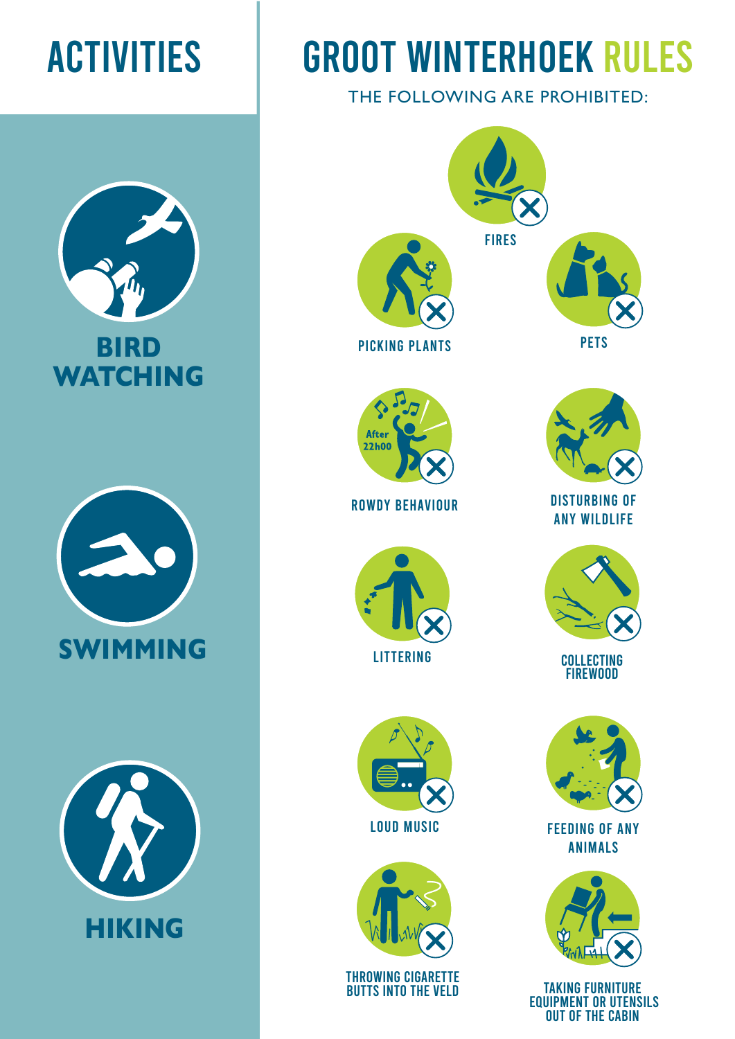





# ACTIVITIES GROOT WINTERHOEK RULES

THE FOLLOWING ARE PROHIBITED:



OUT OF THE CABIN